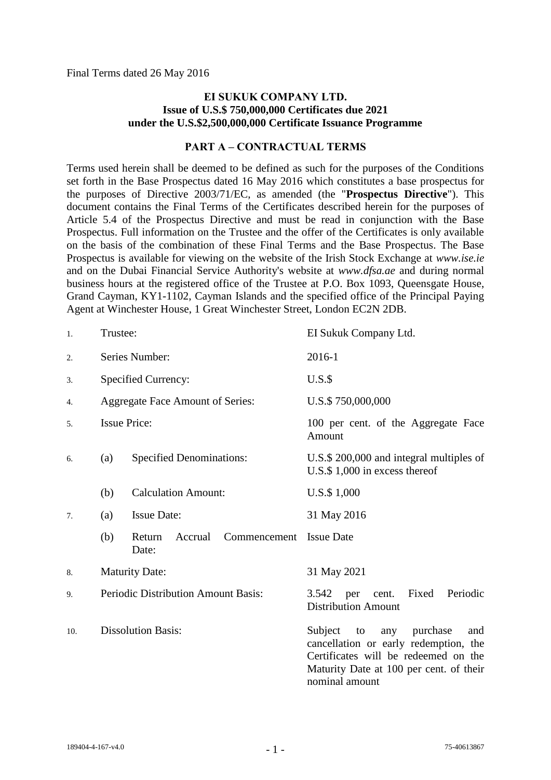Final Terms dated 26 May 2016

### **EI SUKUK COMPANY LTD. Issue of U.S.\$ 750,000,000 Certificates due 2021 under the U.S.\$2,500,000,000 Certificate Issuance Programme**

#### **PART A – CONTRACTUAL TERMS**

Terms used herein shall be deemed to be defined as such for the purposes of the Conditions set forth in the Base Prospectus dated 16 May 2016 which constitutes a base prospectus for the purposes of Directive 2003/71/EC, as amended (the "**Prospectus Directive**"). This document contains the Final Terms of the Certificates described herein for the purposes of Article 5.4 of the Prospectus Directive and must be read in conjunction with the Base Prospectus. Full information on the Trustee and the offer of the Certificates is only available on the basis of the combination of these Final Terms and the Base Prospectus. The Base Prospectus is available for viewing on the website of the Irish Stock Exchange at *www.ise.ie*  and on the Dubai Financial Service Authority's website at *www.dfsa.ae* and during normal business hours at the registered office of the Trustee at P.O. Box 1093, Queensgate House, Grand Cayman, KY1-1102, Cayman Islands and the specified office of the Principal Paying Agent at Winchester House, 1 Great Winchester Street, London EC2N 2DB.

| 1.  | Trustee:                            |                                            | EI Sukuk Company Ltd.                                                                                                                                                                 |
|-----|-------------------------------------|--------------------------------------------|---------------------------------------------------------------------------------------------------------------------------------------------------------------------------------------|
| 2.  | Series Number:                      |                                            | 2016-1                                                                                                                                                                                |
| 3.  |                                     | Specified Currency:                        | $U.S.\$                                                                                                                                                                               |
| 4.  |                                     | <b>Aggregate Face Amount of Series:</b>    | U.S.\$750,000,000                                                                                                                                                                     |
| 5.  | <b>Issue Price:</b>                 |                                            | 100 per cent. of the Aggregate Face<br>Amount                                                                                                                                         |
| 6.  | (a)                                 | <b>Specified Denominations:</b>            | U.S.\$ 200,000 and integral multiples of<br>U.S. $$1,000$ in excess thereof                                                                                                           |
|     | (b)                                 | <b>Calculation Amount:</b>                 | U.S.\$ 1,000                                                                                                                                                                          |
| 7.  | (a)                                 | <b>Issue Date:</b>                         | 31 May 2016                                                                                                                                                                           |
|     | (b)                                 | Return<br>Accrual<br>Commencement<br>Date: | <b>Issue Date</b>                                                                                                                                                                     |
| 8.  | <b>Maturity Date:</b>               |                                            | 31 May 2021                                                                                                                                                                           |
| 9.  | Periodic Distribution Amount Basis: |                                            | Fixed<br>Periodic<br>3.542<br>per cent.<br><b>Distribution Amount</b>                                                                                                                 |
| 10. | <b>Dissolution Basis:</b>           |                                            | Subject<br>purchase<br>to<br>any<br>and<br>cancellation or early redemption, the<br>Certificates will be redeemed on the<br>Maturity Date at 100 per cent. of their<br>nominal amount |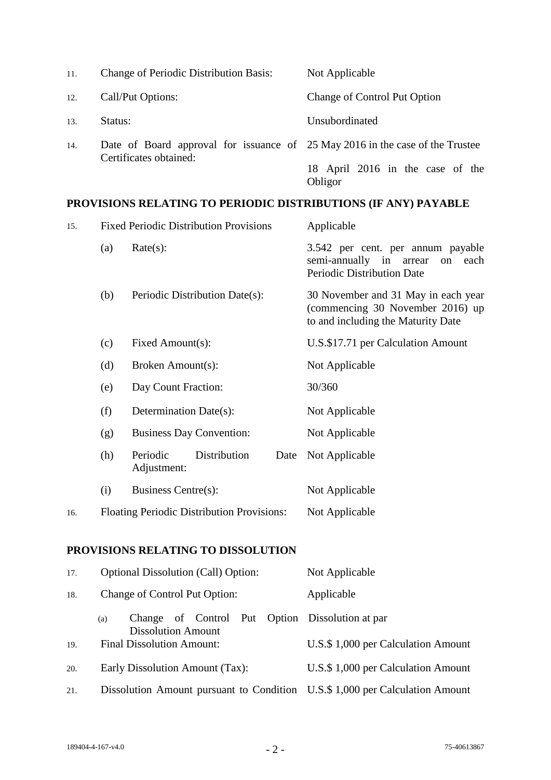| 11. | <b>Change of Periodic Distribution Basis:</b>                                                           | Not Applicable                              |  |  |
|-----|---------------------------------------------------------------------------------------------------------|---------------------------------------------|--|--|
| 12. | Call/Put Options:                                                                                       | <b>Change of Control Put Option</b>         |  |  |
| 13. | Status:                                                                                                 | Unsubordinated                              |  |  |
| 14. | Date of Board approval for issuance of 25 May 2016 in the case of the Trustee<br>Certificates obtained: |                                             |  |  |
|     |                                                                                                         | 18 April 2016 in the case of the<br>Obligor |  |  |

# **PROVISIONS RELATING TO PERIODIC DISTRIBUTIONS (IF ANY) PAYABLE**

| 15. |     | <b>Fixed Periodic Distribution Provisions</b>     | Applicable                                                                                                    |
|-----|-----|---------------------------------------------------|---------------------------------------------------------------------------------------------------------------|
|     | (a) | Rate(s):                                          | 3.542 per cent. per annum payable<br>semi-annually in<br>each<br>arrear<br>on<br>Periodic Distribution Date   |
|     | (b) | Periodic Distribution Date(s):                    | 30 November and 31 May in each year<br>(commencing 30 November 2016) up<br>to and including the Maturity Date |
|     | (c) | Fixed Amount(s):                                  | U.S.\$17.71 per Calculation Amount                                                                            |
|     | (d) | Broken Amount(s):                                 | Not Applicable                                                                                                |
|     | (e) | Day Count Fraction:                               | 30/360                                                                                                        |
|     | (f) | Determination Date(s):                            | Not Applicable                                                                                                |
|     | (g) | <b>Business Day Convention:</b>                   | Not Applicable                                                                                                |
|     | (h) | Periodic<br>Distribution<br>Date<br>Adjustment:   | Not Applicable                                                                                                |
|     | (i) | Business Centre(s):                               | Not Applicable                                                                                                |
| 16. |     | <b>Floating Periodic Distribution Provisions:</b> | Not Applicable                                                                                                |
|     |     |                                                   |                                                                                                               |

### **PROVISIONS RELATING TO DISSOLUTION**

| 17. | <b>Optional Dissolution (Call) Option:</b>                                          | Not Applicable                      |
|-----|-------------------------------------------------------------------------------------|-------------------------------------|
| 18. | Change of Control Put Option:                                                       | Applicable                          |
|     | Change of Control Put Option Dissolution at par<br>(a)<br><b>Dissolution Amount</b> |                                     |
| 19. | <b>Final Dissolution Amount:</b>                                                    | U.S. \$1,000 per Calculation Amount |
| 20. | Early Dissolution Amount (Tax):                                                     | U.S. \$1,000 per Calculation Amount |
| 21. | Dissolution Amount pursuant to Condition U.S.\$ 1,000 per Calculation Amount        |                                     |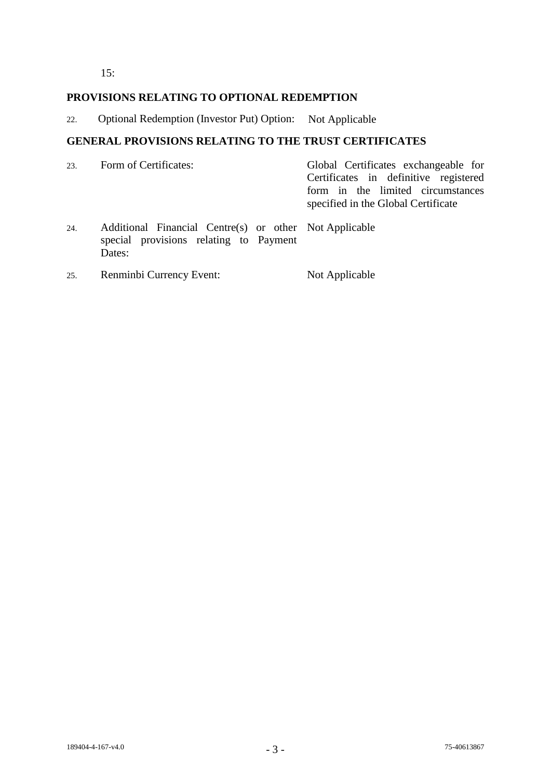$15:$ 

### **PROVISIONS RELATING TO OPTIONAL REDEMPTION**

22. Optional Redemption (Investor Put) Option: Not Applicable

## **GENERAL PROVISIONS RELATING TO THE TRUST CERTIFICATES**

|     | 23. Form of Certificates:                                                                                                                                                                                                                                                                                                                                                                                                                                  |  |  | Global Certificates exchangeable for<br>Certificates in definitive registered<br>form in the limited circumstances<br>specified in the Global Certificate |  |                                                        |
|-----|------------------------------------------------------------------------------------------------------------------------------------------------------------------------------------------------------------------------------------------------------------------------------------------------------------------------------------------------------------------------------------------------------------------------------------------------------------|--|--|-----------------------------------------------------------------------------------------------------------------------------------------------------------|--|--------------------------------------------------------|
| 24. | $\mathbf{L} = \mathbf{L} \cdot \mathbf{L} + \mathbf{L} \cdot \mathbf{L} + \mathbf{L} \cdot \mathbf{L} + \mathbf{L} \cdot \mathbf{L} + \mathbf{L} \cdot \mathbf{L} + \mathbf{L} \cdot \mathbf{L} + \mathbf{L} \cdot \mathbf{L} + \mathbf{L} \cdot \mathbf{L} + \mathbf{L} \cdot \mathbf{L} + \mathbf{L} \cdot \mathbf{L} + \mathbf{L} \cdot \mathbf{L} + \mathbf{L} \cdot \mathbf{L} + \mathbf{L} \cdot \mathbf{L} + \mathbf{L} \cdot \mathbf{L} + \mathbf$ |  |  |                                                                                                                                                           |  | Additional Financial Centre(s) or other Not Applicable |

- special provisions relating to Payment Dates:
- 25. Renminbi Currency Event: Not Applicable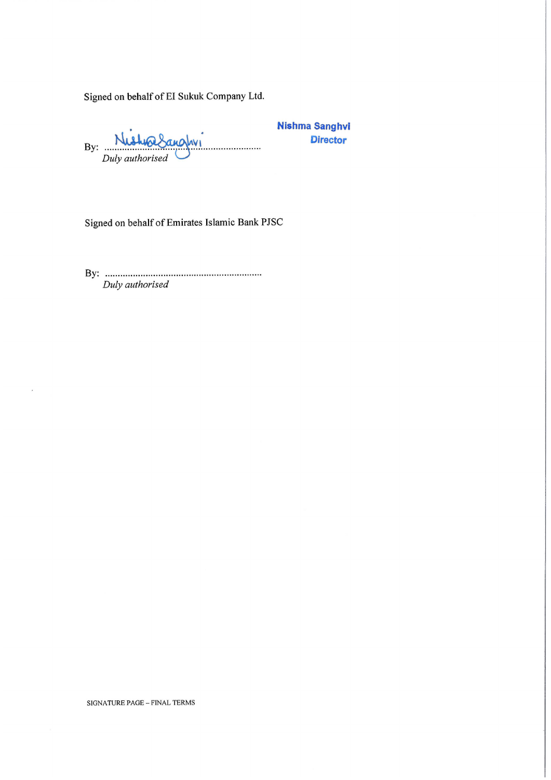Signed on behalf of EI Sukuk Company Ltd.

 $N_i$ walnunday By: .. . . . . . . . . . . . . . . . . . Duly authorised

**Nishma Sanghvi Director** 

Signed on behalf of Emirates Islamic Bank PJSC

Duly authorised

SIGNATURE PAGE - FINAL TERMS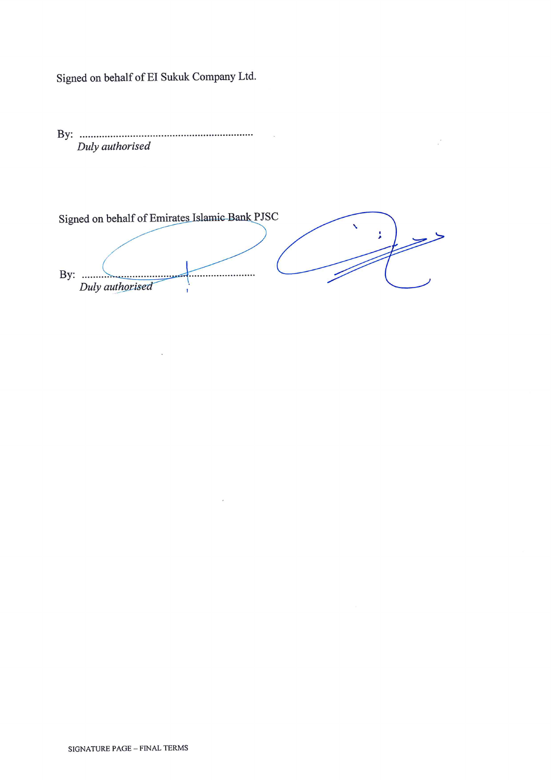Signed on behalf of EI Sukuk Company Ltd.

Duly authorised

Signed on behalf of Emirates Islamic Bank PJSC J. \_\_\_\_\_\_\_\_\_\_\_\_\_\_\_\_\_\_\_\_\_\_\_\_\_\_ Duly authorised ï

 $\frac{1}{2}$